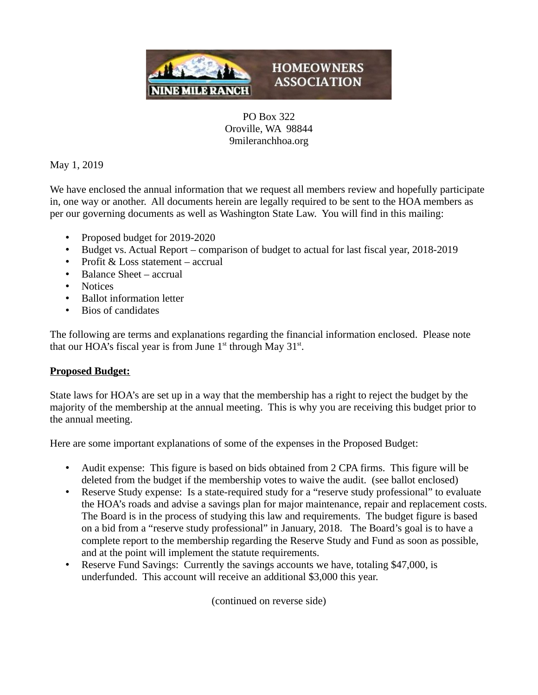

PO Box 322 Oroville, WA 98844 9mileranchhoa.org

May 1, 2019

We have enclosed the annual information that we request all members review and hopefully participate in, one way or another. All documents herein are legally required to be sent to the HOA members as per our governing documents as well as Washington State Law. You will find in this mailing:

- Proposed budget for 2019-2020
- Budget vs. Actual Report comparison of budget to actual for last fiscal year, 2018-2019
- Profit & Loss statement accrual
- Balance Sheet accrual
- Notices
- Ballot information letter
- Bios of candidates

The following are terms and explanations regarding the financial information enclosed. Please note that our HOA's fiscal year is from June  $1<sup>st</sup>$  through May  $31<sup>st</sup>$ .

## **Proposed Budget:**

State laws for HOA's are set up in a way that the membership has a right to reject the budget by the majority of the membership at the annual meeting. This is why you are receiving this budget prior to the annual meeting.

Here are some important explanations of some of the expenses in the Proposed Budget:

- Audit expense: This figure is based on bids obtained from 2 CPA firms. This figure will be deleted from the budget if the membership votes to waive the audit. (see ballot enclosed)
- Reserve Study expense: Is a state-required study for a "reserve study professional" to evaluate the HOA's roads and advise a savings plan for major maintenance, repair and replacement costs. The Board is in the process of studying this law and requirements. The budget figure is based on a bid from a "reserve study professional" in January, 2018. The Board's goal is to have a complete report to the membership regarding the Reserve Study and Fund as soon as possible, and at the point will implement the statute requirements.
- Reserve Fund Savings: Currently the savings accounts we have, totaling \$47,000, is underfunded. This account will receive an additional \$3,000 this year.

(continued on reverse side)